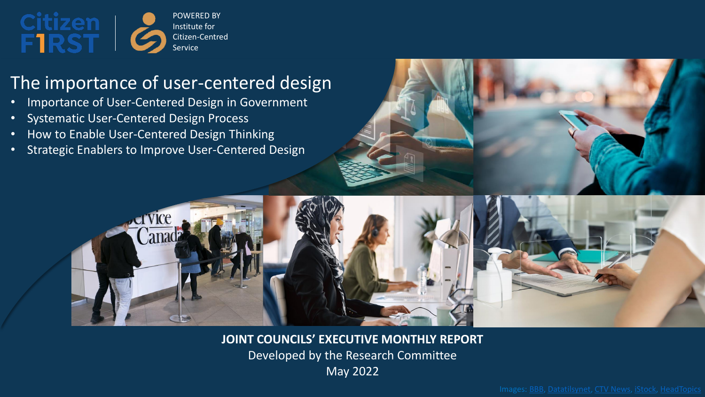

### The importance of user-centered design

- Importance of User-Centered Design in Government
- Systematic User-Centered Design Process
- How to Enable User-Centered Design Thinking
- Strategic Enablers to Improve User-Centered Design



**JOINT COUNCILS' EXECUTIVE MONTHLY REPORT**  Developed by the Research Committee May 2022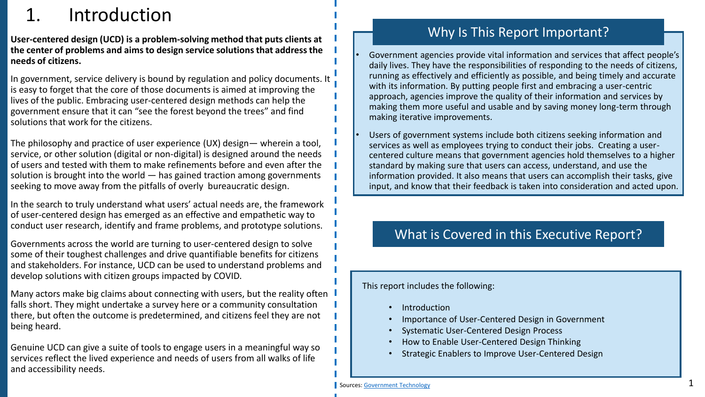# **Introduction**

**User-centered design (UCD) is a problem-solving method that puts clients at the center of problems and aims to design service solutions that address the needs of citizens.** 

In government, service delivery is bound by regulation and policy documents. It is easy to forget that the core of those documents is aimed at improving the lives of the public. Embracing user-centered design methods can help the government ensure that it can "see the forest beyond the trees" and find solutions that work for the citizens.

The philosophy and practice of user experience (UX) design— wherein a tool, service, or other solution (digital or non-digital) is designed around the needs of users and tested with them to make refinements before and even after the solution is brought into the world — has gained traction among governments seeking to move away from the pitfalls of overly bureaucratic design.

In the search to truly understand what users' actual needs are, the framework of user-centered design has emerged as an effective and empathetic way to conduct user research, identify and frame problems, and prototype solutions.

Governments across the world are turning to user-centered design to solve some of their toughest challenges and drive quantifiable benefits for citizens and stakeholders. For instance, UCD can be used to understand problems and develop solutions with citizen groups impacted by COVID.

Many actors make big claims about connecting with users, but the reality often l falls short. They might undertake a survey here or a community consultation there, but often the outcome is predetermined, and citizens feel they are not being heard.

Genuine UCD can give a suite of tools to engage users in a meaningful way so services reflect the lived experience and needs of users from all walks of life and accessibility needs.

### Why Is This Report Important?

• Government agencies provide vital information and services that affect people's daily lives. They have the responsibilities of responding to the needs of citizens, running as effectively and efficiently as possible, and being timely and accurate with its information. By putting people first and embracing a user-centric approach, agencies improve the quality of their information and services by making them more useful and usable and by saving money long-term through making iterative improvements.

Users of government systems include both citizens seeking information and services as well as employees trying to conduct their jobs. Creating a usercentered culture means that government agencies hold themselves to a higher standard by making sure that users can access, understand, and use the information provided. It also means that users can accomplish their tasks, give input, and know that their feedback is taken into consideration and acted upon.

### What is Covered in this Executive Report?

This report includes the following:

- **Introduction**
- Importance of User-Centered Design in Government
- Systematic User-Centered Design Process
- How to Enable User-Centered Design Thinking
- Strategic Enablers to Improve User-Centered Design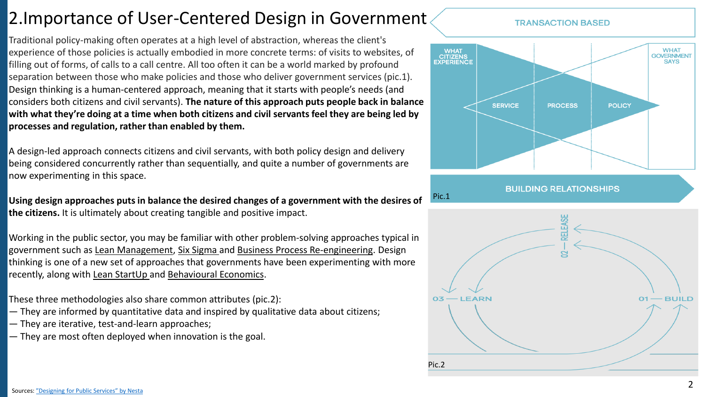### 2.Importance of User-Centered Design in Government

Traditional policy-making often operates at a high level of abstraction, whereas the client's experience of those policies is actually embodied in more concrete terms: of visits to websites, of filling out of forms, of calls to a call centre. All too often it can be a world marked by profound separation between those who make policies and those who deliver government services (pic.1). Design thinking is a human-centered approach, meaning that it starts with people's needs (and considers both citizens and civil servants). **The nature of this approach puts people back in balance with what they're doing at a time when both citizens and civil servants feel they are being led by processes and regulation, rather than enabled by them.**

A design-led approach connects citizens and civil servants, with both policy design and delivery being considered concurrently rather than sequentially, and quite a number of governments are now experimenting in this space.

**Using design approaches puts in balance the desired changes of a government with the desires of the citizens.** It is ultimately about creating tangible and positive impact.

Working in the public sector, you may be familiar with other problem-solving approaches typical in government such as Lean Management, Six Sigma and Business Process Re-engineering. Design thinking is one of a new set of approaches that governments have been experimenting with more recently, along with Lean StartUp and Behavioural Economics.

These three methodologies also share common attributes (pic.2):

- They are informed by quantitative data and inspired by qualitative data about citizens;
- They are iterative, test-and-learn approaches;
- They are most often deployed when innovation is the goal.

#### **TRANSACTION BASED**



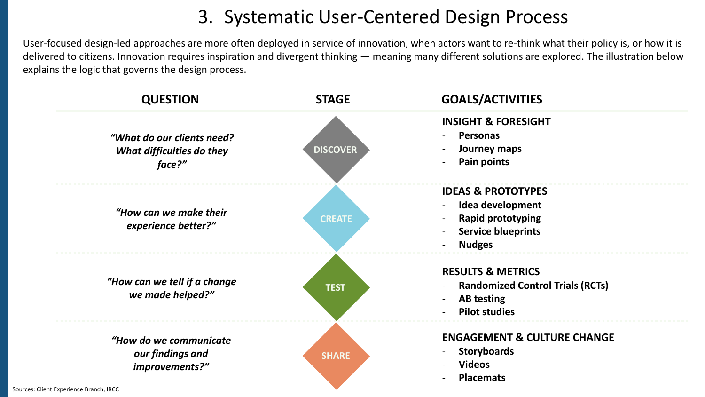# 3. Systematic User-Centered Design Process

User-focused design-led approaches are more often deployed in service of innovation, when actors want to re-think what their policy is, or how it is delivered to citizens. Innovation requires inspiration and divergent thinking — meaning many different solutions are explored. The illustration below explains the logic that governs the design process.

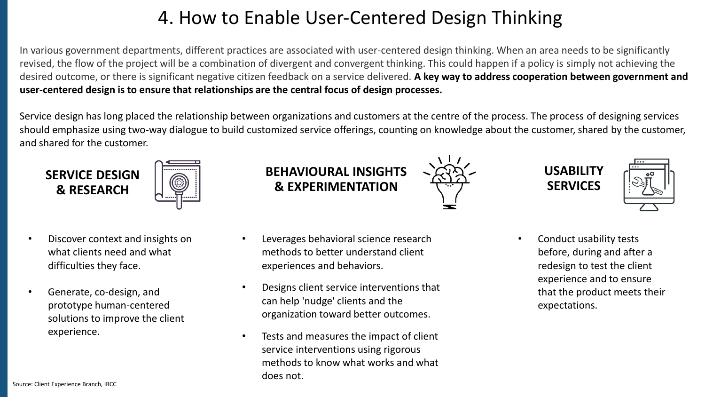# 4. How to Enable User-Centered Design Thinking

In various government departments, different practices are associated with user-centered design thinking. When an area needs to be significantly revised, the flow of the project will be a combination of divergent and convergent thinking. This could happen if a policy is simply not achieving the desired outcome, or there is significant negative citizen feedback on a service delivered. **A key way to address cooperation between government and user-centered design is to ensure that relationships are the central focus of design processes.** 

Service design has long placed the relationship between organizations and customers at the centre of the process. The process of designing services should emphasize using two-way dialogue to build customized service offerings, counting on knowledge about the customer, shared by the customer, and shared for the customer.



- Discover context and insights on what clients need and what difficulties they face.
- Generate, co-design, and prototype human-centered solutions to improve the client experience.

**BEHAVIOURAL INSIGHTS & EXPERIMENTATION**

- Leverages behavioral science research methods to better understand client experiences and behaviors.
- Designs client service interventions that can help 'nudge' clients and the organization toward better outcomes.
- Tests and measures the impact of client service interventions using rigorous methods to know what works and what does not.





• Conduct usability tests before, during and after a redesign to test the client experience and to ensure that the product meets their expectations.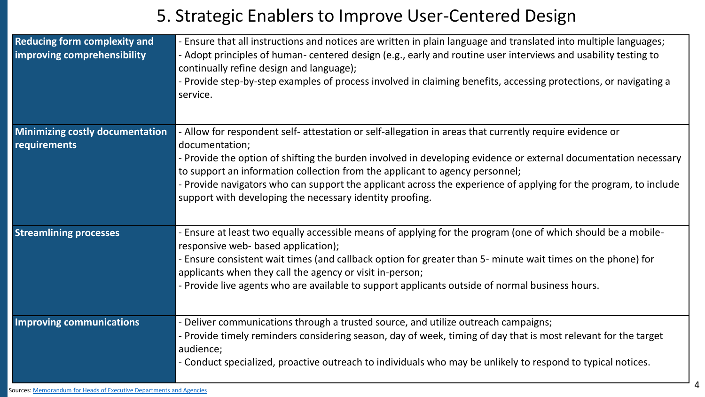### 5. Strategic Enablers to Improve User-Centered Design

| <b>Reducing form complexity and</b><br>improving comprehensibility | Ensure that all instructions and notices are written in plain language and translated into multiple languages;<br>- Adopt principles of human- centered design (e.g., early and routine user interviews and usability testing to<br>continually refine design and language);<br>- Provide step-by-step examples of process involved in claiming benefits, accessing protections, or navigating a<br>service. |
|--------------------------------------------------------------------|--------------------------------------------------------------------------------------------------------------------------------------------------------------------------------------------------------------------------------------------------------------------------------------------------------------------------------------------------------------------------------------------------------------|
| <b>Minimizing costly documentation</b>                             | Allow for respondent self- attestation or self-allegation in areas that currently require evidence or                                                                                                                                                                                                                                                                                                        |
| <b>requirements</b>                                                | documentation;                                                                                                                                                                                                                                                                                                                                                                                               |
|                                                                    | - Provide the option of shifting the burden involved in developing evidence or external documentation necessary                                                                                                                                                                                                                                                                                              |
|                                                                    | to support an information collection from the applicant to agency personnel;<br>- Provide navigators who can support the applicant across the experience of applying for the program, to include                                                                                                                                                                                                             |
|                                                                    | support with developing the necessary identity proofing.                                                                                                                                                                                                                                                                                                                                                     |
|                                                                    |                                                                                                                                                                                                                                                                                                                                                                                                              |
| <b>Streamlining processes</b>                                      | Ensure at least two equally accessible means of applying for the program (one of which should be a mobile-<br>responsive web- based application);                                                                                                                                                                                                                                                            |
|                                                                    | - Ensure consistent wait times (and callback option for greater than 5- minute wait times on the phone) for<br>applicants when they call the agency or visit in-person;                                                                                                                                                                                                                                      |
|                                                                    | - Provide live agents who are available to support applicants outside of normal business hours.                                                                                                                                                                                                                                                                                                              |
| <b>Improving communications</b>                                    | Deliver communications through a trusted source, and utilize outreach campaigns;                                                                                                                                                                                                                                                                                                                             |
|                                                                    | Provide timely reminders considering season, day of week, timing of day that is most relevant for the target<br>audience;                                                                                                                                                                                                                                                                                    |
|                                                                    | - Conduct specialized, proactive outreach to individuals who may be unlikely to respond to typical notices.                                                                                                                                                                                                                                                                                                  |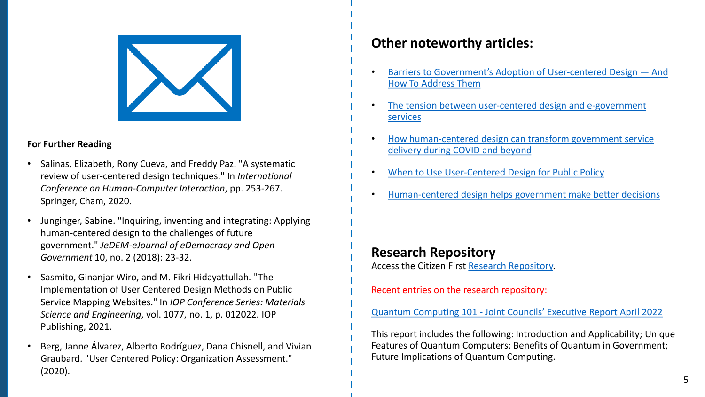

#### **For Further Reading**

- Salinas, Elizabeth, Rony Cueva, and Freddy Paz. "A systematic review of user-centered design techniques." In *International Conference on Human-Computer Interaction*, pp. 253-267. Springer, Cham, 2020.
- Junginger, Sabine. "Inquiring, inventing and integrating: Applying human-centered design to the challenges of future government." *JeDEM-eJournal of eDemocracy and Open Government* 10, no. 2 (2018): 23-32.
- Sasmito, Ginanjar Wiro, and M. Fikri Hidayattullah. "The Implementation of User Centered Design Methods on Public Service Mapping Websites." In *IOP Conference Series: Materials Science and Engineering*, vol. 1077, no. 1, p. 012022. IOP Publishing, 2021.
- Berg, Janne Álvarez, Alberto Rodríguez, Dana Chisnell, and Vivian Graubard. "User Centered Policy: Organization Assessment." (2020).

### **Other noteworthy articles:**

- [Barriers to Government's Adoption of User](https://18f.gsa.gov/2019/11/07/barriers-to-governments-adoption-of-user-centered-design-and-how-to-address-them/)-centered Design And How To Address Them
- [The tension between user-centered design and e-government](https://www.researchgate.net/publication/233433932_The_tension_between_user-centred_design_and_e-government_services) services
- [How human-centered design can transform government service](https://nousgroup.com/ca/insights/hcd-government-service-delivery/)  delivery during COVID and beyond
- [When to Use User-Centered Design for Public Policy](https://ssir.org/articles/entry/when_to_use_user_centered_design_for_public_policy)
- [Human-centered design helps government make better decisions](https://adhoc.team/2019/10/16/human-centered-design-government-decisions/)

#### **Research Repository**

Access the Citizen First [Research Repository.](https://citizenfirst.ca/research-repository/)

Recent entries on the research repository:

Quantum Computing 101 - [Joint Councils' Executive Report April 2022](https://citizenfirst.ca/assets/uploads/research-repository/JC-Research-Report-Quantum-Computing-101-Apr2022.pdf)

This report includes the following: Introduction and Applicability; Unique Features of Quantum Computers; Benefits of Quantum in Government; Future Implications of Quantum Computing.